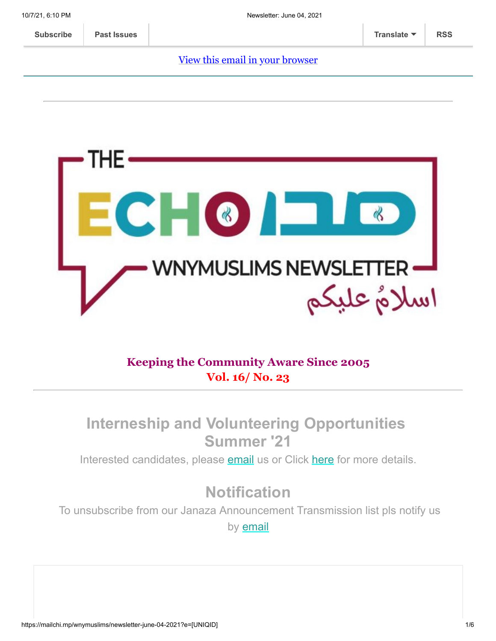#### [View this email in your browser](https://mailchi.mp/wnymuslims/newsletter-june-04-2021?e=[UNIQID])



### **Keeping the Community Aware Since 2005 Vol. 16/ No. 23**

### **Interneship and Volunteering Opportunities Summer '21**

Interested candidates, please [email](mailto:wnymuslims@wnymuslims.org) us or Click [here](https://wnymuslims.org/volunteer-and-internships-opportunities/) for more details.

# **Notification**

To unsubscribe from our Janaza Announcement Transmission list pls notify us by **[email](mailto:wnym@wnymuslims.org?subject=Janaza%20Announcement%20List%20Removal%20Request)**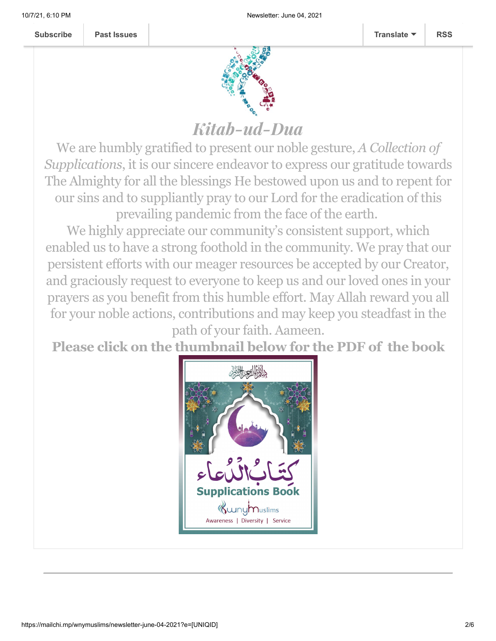

# Kitab-ud-Dua

We are humbly gratified to present our noble gesture, *A Collection of Supplications*, it is our sincere endeavor to express our gratitude towards The Almighty for all the blessings He bestowed upon us and to repent for our sins and to suppliantly pray to our Lord for the eradication of this prevailing pandemic from the face of the earth.

We highly appreciate our community's consistent support, which enabled us to have a strong foothold in the community. We pray that our persistent efforts with our meager resources be accepted by our Creator, and graciously request to everyone to keep us and our loved ones in your prayers as you benefit from this humble effort. May Allah reward you all for your noble actions, contributions and may keep you steadfast in the

path of your faith. Aameen.

**Please click on the thumbnail below for the PDF of the book**

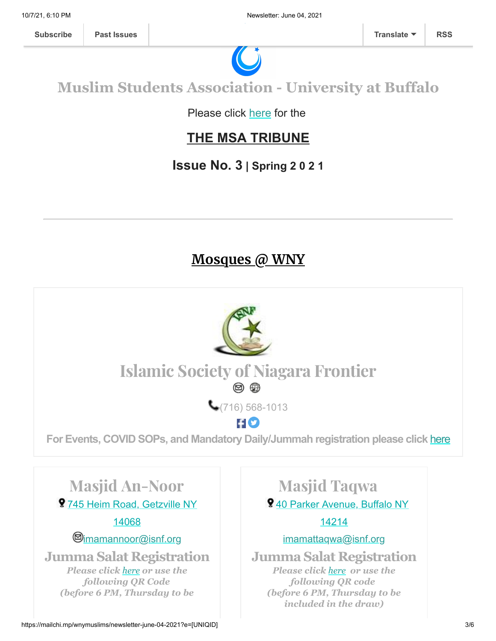

## **Muslim Students Association - University at Buffalo**

Please click [here](https://wnymuslims.org/event/the-msa-tribune/) for the

### **THE MSA TRIBUNE**

### **Issue No. 3 | Spring 2 0 2 1**

### **Mosques @ WNY**

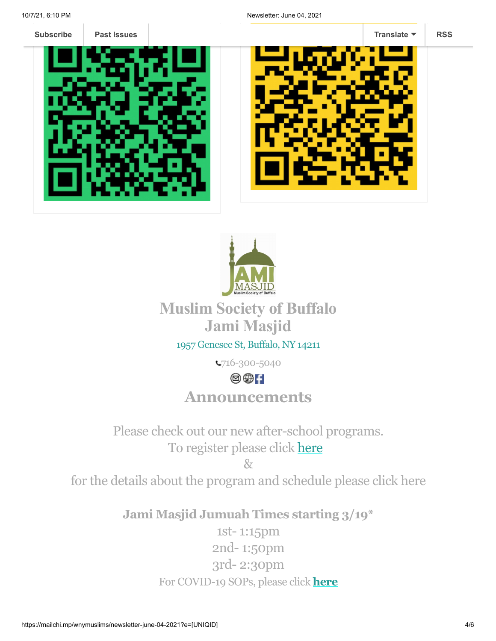

**Past Issues** 







## **Muslim Society of Buffalo Jami Masjid**

### 1957 [Genesee](https://www.google.com/maps/place/Universal+School/@42.9136906,-78.8116585,17z/data=!3m1!4b1!4m5!3m4!1s0x89d376b466438e9f:0xda418f4c41063eaf!8m2!3d42.9136906!4d-78.8094698) St, Buffalo, NY 14211

716-300-5040

### $\circledcirc$  i

### **Announcements**

Please check out our new after-school programs. To register please click [here](http://bit.ly/belikeaisha)

 $R_{\mathcal{T}}$ 

for the details about the program and schedule please click here

**Jami Masjid Jumuah Times starting 3/19\***

1st- 1:15pm 2nd- 1:50pm 3rd- 2:30pm For COVID-19 SOPs, please click **[here](https://jamimasjidbuffalo.com/?fbclid=IwAR0GxShgndrMmvntv1N2_4knDxllAYTIm1bTjRKtlv-C6O2uuMIBSK9UZX0)**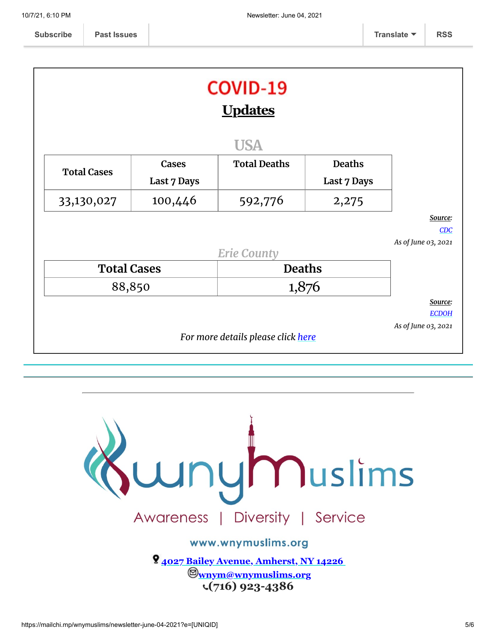|                    |                    | <b>COVID-19</b><br><b>Updates</b>  |               |                                     |
|--------------------|--------------------|------------------------------------|---------------|-------------------------------------|
|                    |                    | <b>USA</b>                         |               |                                     |
| <b>Total Cases</b> | Cases              | <b>Total Deaths</b>                | <b>Deaths</b> |                                     |
|                    | <b>Last 7 Days</b> |                                    | Last 7 Days   |                                     |
| 33,130,027         | 100,446            | 592,776                            | 2,275         |                                     |
|                    |                    |                                    |               | Source:                             |
|                    |                    |                                    |               | CDC<br>As of June 03, 2021          |
|                    |                    | <b>Erie County</b>                 |               |                                     |
| <b>Total Cases</b> |                    | <b>Deaths</b>                      |               |                                     |
| 88,850             |                    | 1,876                              |               |                                     |
|                    |                    |                                    |               | Source:                             |
|                    |                    |                                    |               | <b>ECDOH</b><br>As of June 03, 2021 |
|                    |                    | For more details please click here |               |                                     |